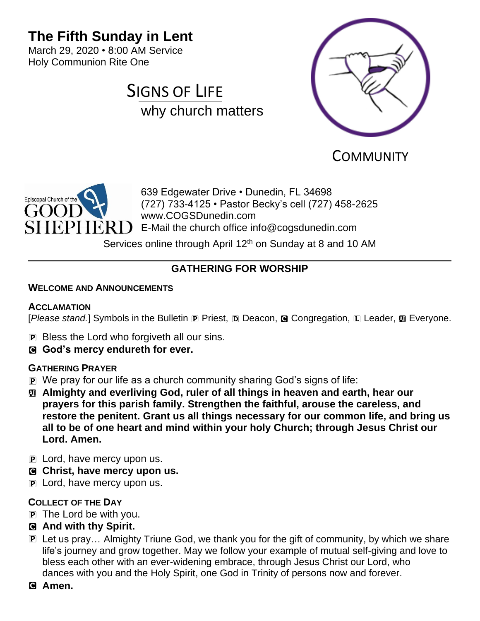# **The Fifth Sunday in Lent**

March 29, 2020 • 8:00 AM Service Holy Communion Rite One





**COMMUNITY** 



639 Edgewater Drive • Dunedin, FL 34698 (727) 733-4125 • Pastor Becky's cell (727) 458-2625 www.COGSDunedin.com E-Mail the church office info@cogsdunedin.com

Services online through April 12<sup>th</sup> on Sunday at 8 and 10 AM

# **GATHERING FOR WORSHIP**

### **WELCOME AND ANNOUNCEMENTS**

### **ACCLAMATION**

[*Please stand.*] Symbols in the Bulletin **P** Priest, **D** Deacon, **G** Congregation, **L** Leader, **M** Everyone.

- P Bless the Lord who forgiveth all our sins.
- C **God's mercy endureth for ever.**

# **GATHERING PRAYER**

- P We pray for our life as a church community sharing God's signs of life:
- a **Almighty and everliving God, ruler of all things in heaven and earth, hear our prayers for this parish family. Strengthen the faithful, arouse the careless, and restore the penitent. Grant us all things necessary for our common life, and bring us all to be of one heart and mind within your holy Church; through Jesus Christ our Lord. Amen.**
- **P** Lord, have mercy upon us.
- C **Christ, have mercy upon us.**
- P Lord, have mercy upon us.

## **COLLECT OF THE DAY**

- P The Lord be with you.
- C **And with thy Spirit.**
- P Let us pray… Almighty Triune God, we thank you for the gift of community, by which we share life's journey and grow together. May we follow your example of mutual self-giving and love to bless each other with an ever-widening embrace, through Jesus Christ our Lord, who dances with you and the Holy Spirit, one God in Trinity of persons now and forever.
- C **Amen.**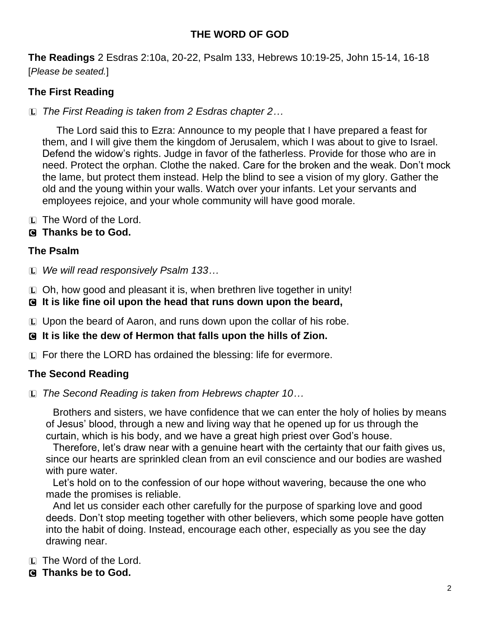# **THE WORD OF GOD**

**The Readings** 2 Esdras 2:10a, 20-22, Psalm 133, Hebrews 10:19-25, John 15-14, 16-18 [*Please be seated.*]

# **The First Reading**

L *The First Reading is taken from 2 Esdras chapter 2…*

The Lord said this to Ezra: Announce to my people that I have prepared a feast for them, and I will give them the kingdom of Jerusalem, which I was about to give to Israel. Defend the widow's rights. Judge in favor of the fatherless. Provide for those who are in need. Protect the orphan. Clothe the naked. Care for the broken and the weak. Don't mock the lame, but protect them instead. Help the blind to see a vision of my glory. Gather the old and the young within your walls. Watch over your infants. Let your servants and employees rejoice, and your whole community will have good morale.

 $[L]$  The Word of the Lord.

### C **Thanks be to God.**

### **The Psalm**

L *We will read responsively Psalm 133…*

L Oh, how good and pleasant it is, when brethren live together in unity!

- C **It is like fine oil upon the head that runs down upon the beard,**
- L Upon the beard of Aaron, and runs down upon the collar of his robe.

#### C **It is like the dew of Hermon that falls upon the hills of Zion.**

L For there the LORD has ordained the blessing: life for evermore.

## **The Second Reading**

L *The Second Reading is taken from Hebrews chapter 10…*

Brothers and sisters, we have confidence that we can enter the holy of holies by means of Jesus' blood, through a new and living way that he opened up for us through the curtain, which is his body, and we have a great high priest over God's house.

Therefore, let's draw near with a genuine heart with the certainty that our faith gives us, since our hearts are sprinkled clean from an evil conscience and our bodies are washed with pure water.

Let's hold on to the confession of our hope without wavering, because the one who made the promises is reliable.

And let us consider each other carefully for the purpose of sparking love and good deeds. Don't stop meeting together with other believers, which some people have gotten into the habit of doing. Instead, encourage each other, especially as you see the day drawing near.

- L The Word of the Lord.
- C **Thanks be to God.**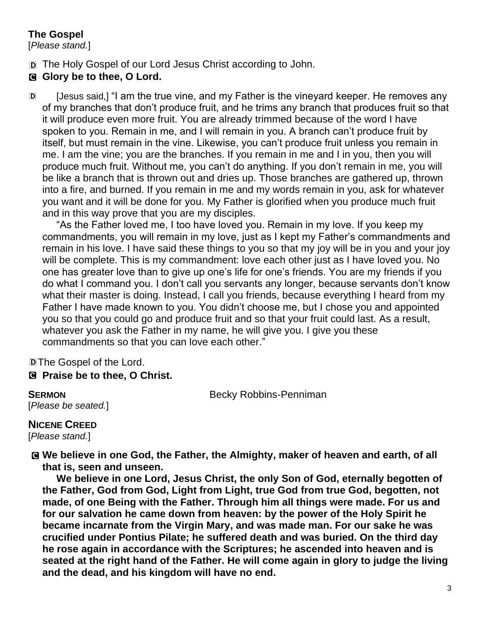# **The Gospel**

[*Please stand.*]

D The Holy Gospel of our Lord Jesus Christ according to John.

# **G** Glory be to thee, O Lord.

D [Jesus said,] "I am the true vine, and my Father is the vineyard keeper. He removes any of my branches that don't produce fruit, and he trims any branch that produces fruit so that it will produce even more fruit. You are already trimmed because of the word I have spoken to you. Remain in me, and I will remain in you. A branch can't produce fruit by itself, but must remain in the vine. Likewise, you can't produce fruit unless you remain in me. I am the vine; you are the branches. If you remain in me and I in you, then you will produce much fruit. Without me, you can't do anything. If you don't remain in me, you will be like a branch that is thrown out and dries up. Those branches are gathered up, thrown into a fire, and burned. If you remain in me and my words remain in you, ask for whatever you want and it will be done for you. My Father is glorified when you produce much fruit and in this way prove that you are my disciples.

"As the Father loved me, I too have loved you. Remain in my love. If you keep my commandments, you will remain in my love, just as I kept my Father's commandments and remain in his love. I have said these things to you so that my joy will be in you and your joy will be complete. This is my commandment: love each other just as I have loved you. No one has greater love than to give up one's life for one's friends. You are my friends if you do what I command you. I don't call you servants any longer, because servants don't know what their master is doing. Instead, I call you friends, because everything I heard from my Father I have made known to you. You didn't choose me, but I chose you and appointed you so that you could go and produce fruit and so that your fruit could last. As a result, whatever you ask the Father in my name, he will give you. I give you these commandments so that you can love each other."

DThe Gospel of the Lord.

C **Praise be to thee, O Christ.**

[*Please be seated.*]

**SERMON** Becky Robbins-Penniman

**NICENE CREED**  [*Please stand.*]

C **We believe in one God, the Father, the Almighty, maker of heaven and earth, of all that is, seen and unseen.** 

**We believe in one Lord, Jesus Christ, the only Son of God, eternally begotten of the Father, God from God, Light from Light, true God from true God, begotten, not made, of one Being with the Father. Through him all things were made. For us and for our salvation he came down from heaven: by the power of the Holy Spirit he became incarnate from the Virgin Mary, and was made man. For our sake he was crucified under Pontius Pilate; he suffered death and was buried. On the third day he rose again in accordance with the Scriptures; he ascended into heaven and is seated at the right hand of the Father. He will come again in glory to judge the living and the dead, and his kingdom will have no end.**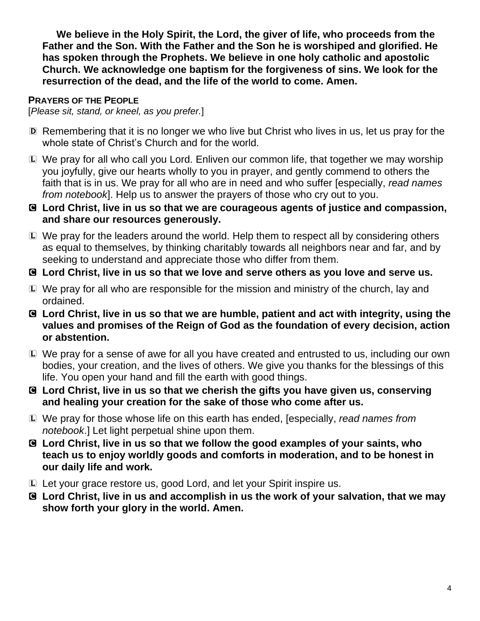**We believe in the Holy Spirit, the Lord, the giver of life, who proceeds from the Father and the Son. With the Father and the Son he is worshiped and glorified. He has spoken through the Prophets. We believe in one holy catholic and apostolic Church. We acknowledge one baptism for the forgiveness of sins. We look for the resurrection of the dead, and the life of the world to come. Amen.**

# **PRAYERS OF THE PEOPLE**

[*Please sit, stand, or kneel, as you prefer.*]

- D Remembering that it is no longer we who live but Christ who lives in us, let us pray for the whole state of Christ's Church and for the world.
- L We pray for all who call you Lord. Enliven our common life, that together we may worship you joyfully, give our hearts wholly to you in prayer, and gently commend to others the faith that is in us. We pray for all who are in need and who suffer [especially, *read names from notebook*]. Help us to answer the prayers of those who cry out to you.
- C **Lord Christ, live in us so that we are courageous agents of justice and compassion, and share our resources generously.**
- L We pray for the leaders around the world. Help them to respect all by considering others as equal to themselves, by thinking charitably towards all neighbors near and far, and by seeking to understand and appreciate those who differ from them.
- C **Lord Christ, live in us so that we love and serve others as you love and serve us.**
- L We pray for all who are responsible for the mission and ministry of the church, lay and ordained.
- C **Lord Christ, live in us so that we are humble, patient and act with integrity, using the values and promises of the Reign of God as the foundation of every decision, action or abstention.**
- L We pray for a sense of awe for all you have created and entrusted to us, including our own bodies, your creation, and the lives of others. We give you thanks for the blessings of this life. You open your hand and fill the earth with good things.
- C **Lord Christ, live in us so that we cherish the gifts you have given us, conserving and healing your creation for the sake of those who come after us.**
- L We pray for those whose life on this earth has ended, [especially, *read names from notebook*.] Let light perpetual shine upon them.
- C **Lord Christ, live in us so that we follow the good examples of your saints, who teach us to enjoy worldly goods and comforts in moderation, and to be honest in our daily life and work.**
- L Let your grace restore us, good Lord, and let your Spirit inspire us.
- C **Lord Christ, live in us and accomplish in us the work of your salvation, that we may show forth your glory in the world. Amen.**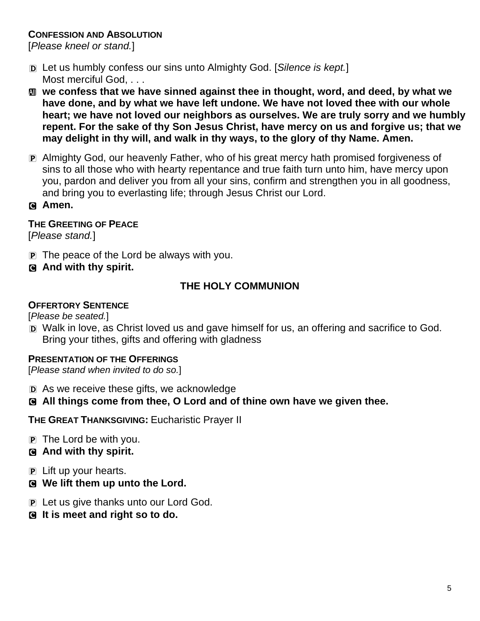## **CONFESSION AND ABSOLUTION**

[*Please kneel or stand.*]

- D Let us humbly confess our sins unto Almighty God. [*Silence is kept.*] Most merciful God, . . .
- **M** we confess that we have sinned against thee in thought, word, and deed, by what we **have done, and by what we have left undone. We have not loved thee with our whole heart; we have not loved our neighbors as ourselves. We are truly sorry and we humbly repent. For the sake of thy Son Jesus Christ, have mercy on us and forgive us; that we may delight in thy will, and walk in thy ways, to the glory of thy Name. Amen.**
- P Almighty God, our heavenly Father, who of his great mercy hath promised forgiveness of sins to all those who with hearty repentance and true faith turn unto him, have mercy upon you, pardon and deliver you from all your sins, confirm and strengthen you in all goodness, and bring you to everlasting life; through Jesus Christ our Lord.
- C **Amen.**

## **THE GREETING OF PEACE**

[*Please stand.*]

- P The peace of the Lord be always with you.
- C **And with thy spirit.**

# **THE HOLY COMMUNION**

#### **OFFERTORY SENTENCE**

[*Please be seated.*]

D Walk in love, as Christ loved us and gave himself for us, an offering and sacrifice to God. Bring your tithes, gifts and offering with gladness

## **PRESENTATION OF THE OFFERINGS**

[*Please stand when invited to do so.*]

- D As we receive these gifts, we acknowledge
- C **All things come from thee, O Lord and of thine own have we given thee.**

**THE GREAT THANKSGIVING:** Eucharistic Prayer II

- $\mathbf{P}$  The Lord be with you.
- C **And with thy spirit.**
- P Lift up your hearts.
- C **We lift them up unto the Lord.**
- P Let us give thanks unto our Lord God.
- C **It is meet and right so to do.**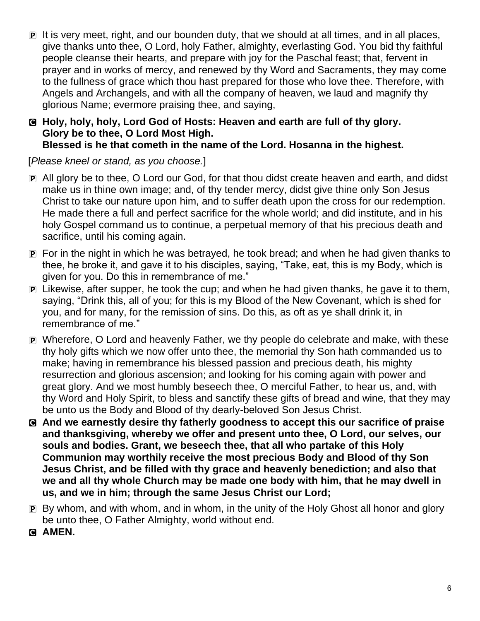P It is very meet, right, and our bounden duty, that we should at all times, and in all places, give thanks unto thee, O Lord, holy Father, almighty, everlasting God. You bid thy faithful people cleanse their hearts, and prepare with joy for the Paschal feast; that, fervent in prayer and in works of mercy, and renewed by thy Word and Sacraments, they may come to the fullness of grace which thou hast prepared for those who love thee. Therefore, with Angels and Archangels, and with all the company of heaven, we laud and magnify thy glorious Name; evermore praising thee, and saying,

## C **Holy, holy, holy, Lord God of Hosts: Heaven and earth are full of thy glory. Glory be to thee, O Lord Most High. Blessed is he that cometh in the name of the Lord. Hosanna in the highest.**

[*Please kneel or stand, as you choose.*]

- P All glory be to thee, O Lord our God, for that thou didst create heaven and earth, and didst make us in thine own image; and, of thy tender mercy, didst give thine only Son Jesus Christ to take our nature upon him, and to suffer death upon the cross for our redemption. He made there a full and perfect sacrifice for the whole world; and did institute, and in his holy Gospel command us to continue, a perpetual memory of that his precious death and sacrifice, until his coming again.
- P For in the night in which he was betrayed, he took bread; and when he had given thanks to thee, he broke it, and gave it to his disciples, saying, "Take, eat, this is my Body, which is given for you. Do this in remembrance of me."
- P Likewise, after supper, he took the cup; and when he had given thanks, he gave it to them, saying, "Drink this, all of you; for this is my Blood of the New Covenant, which is shed for you, and for many, for the remission of sins. Do this, as oft as ye shall drink it, in remembrance of me."
- P Wherefore, O Lord and heavenly Father, we thy people do celebrate and make, with these thy holy gifts which we now offer unto thee, the memorial thy Son hath commanded us to make; having in remembrance his blessed passion and precious death, his mighty resurrection and glorious ascension; and looking for his coming again with power and great glory. And we most humbly beseech thee, O merciful Father, to hear us, and, with thy Word and Holy Spirit, to bless and sanctify these gifts of bread and wine, that they may be unto us the Body and Blood of thy dearly-beloved Son Jesus Christ.
- C **And we earnestly desire thy fatherly goodness to accept this our sacrifice of praise and thanksgiving, whereby we offer and present unto thee, O Lord, our selves, our souls and bodies. Grant, we beseech thee, that all who partake of this Holy Communion may worthily receive the most precious Body and Blood of thy Son Jesus Christ, and be filled with thy grace and heavenly benediction; and also that we and all thy whole Church may be made one body with him, that he may dwell in us, and we in him; through the same Jesus Christ our Lord;**
- P By whom, and with whom, and in whom, in the unity of the Holy Ghost all honor and glory be unto thee, O Father Almighty, world without end.
- **G AMEN.**